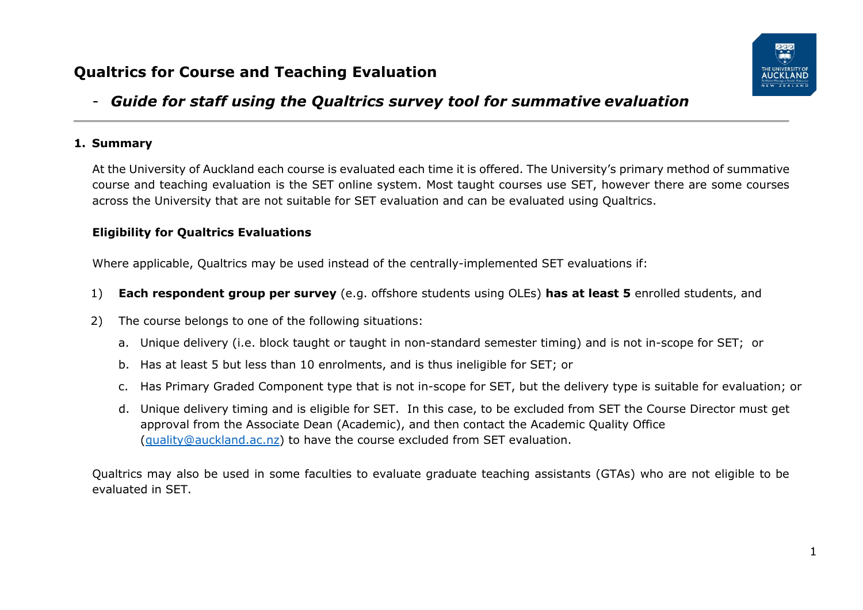# **Qualtrics for Course and Teaching Evaluation**



# - *Guide for staff using the Qualtrics survey tool for summative evaluation*

#### **1. Summary**

At the University of Auckland each course is evaluated each time it is offered. The University's primary method of summative course and teaching evaluation is the SET online system. Most taught courses use SET, however there are some courses across the University that are not suitable for SET evaluation and can be evaluated using Qualtrics.

#### **Eligibility for Qualtrics Evaluations**

Where applicable, Qualtrics may be used instead of the centrally-implemented SET evaluations if:

- 1) **Each respondent group per survey** (e.g. offshore students using OLEs) **has at least 5** enrolled students, and
- 2) The course belongs to one of the following situations:
	- a. Unique delivery (i.e. block taught or taught in non-standard semester timing) and is not in-scope for SET; or
	- b. Has at least 5 but less than 10 enrolments, and is thus ineligible for SET; or
	- c. Has Primary Graded Component type that is not in-scope for SET, but the delivery type is suitable for evaluation; or
	- d. Unique delivery timing and is eligible for SET. In this case, to be excluded from SET the Course Director must get approval from the Associate Dean (Academic), and then contact the Academic Quality Office [\(quality@auckland.ac.nz\)](mailto:quality@auckland.ac.nz) to have the course excluded from SET evaluation.

Qualtrics may also be used in some faculties to evaluate graduate teaching assistants (GTAs) who are not eligible to be evaluated in SET.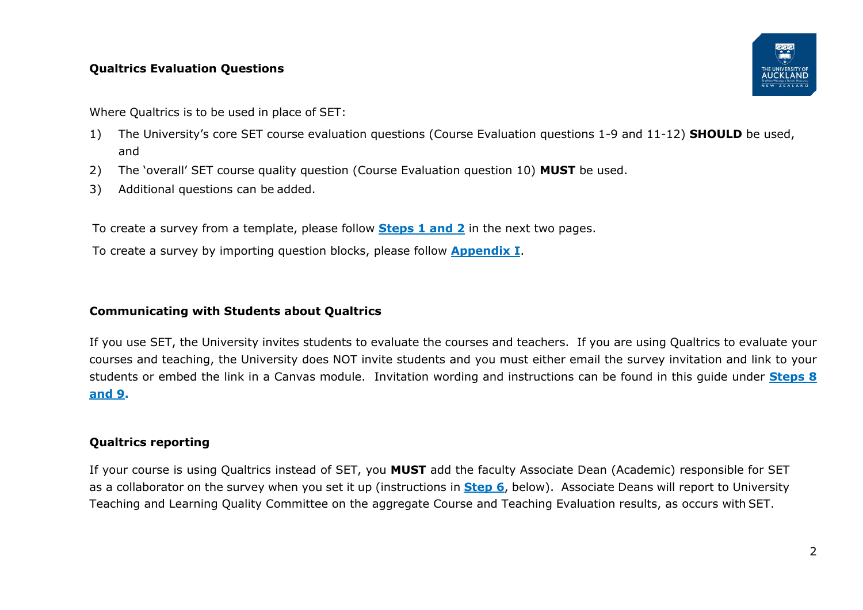#### **Qualtrics Evaluation Questions**

Where Qualtrics is to be used in place of SET:

- 1) The University's core SET course evaluation questions (Course Evaluation questions 1-9 and 11-12) **SHOULD** be used, and
- 2) The 'overall' SET course quality question (Course Evaluation question 10) **MUST** be used.
- 3) Additional questions can be added.

To create a survey from a template, please follow **[Steps 1 and 2](#page-2-0)** in the next two pages.

To create a survey by importing question blocks, please follow **[Appendix I](#page-15-0)**.

#### **Communicating with Students about Qualtrics**

If you use SET, the University invites students to evaluate the courses and teachers. If you are using Qualtrics to evaluate your courses and teaching, the University does NOT invite students and you must either email the survey invitation and link to your students or embed the link in a Canvas module. Invitation wording and instructions can be found in this guide under **[Steps 8](#page-11-0)  [and 9.](#page-11-0)**

#### **Qualtrics reporting**

If your course is using Qualtrics instead of SET, you **MUST** add the faculty Associate Dean (Academic) responsible for SET as a collaborator on the survey when you set it up (instructions in **[Step 6](#page-8-0)**, below). Associate Deans will report to University Teaching and Learning Quality Committee on the aggregate Course and Teaching Evaluation results, as occurs with SET.

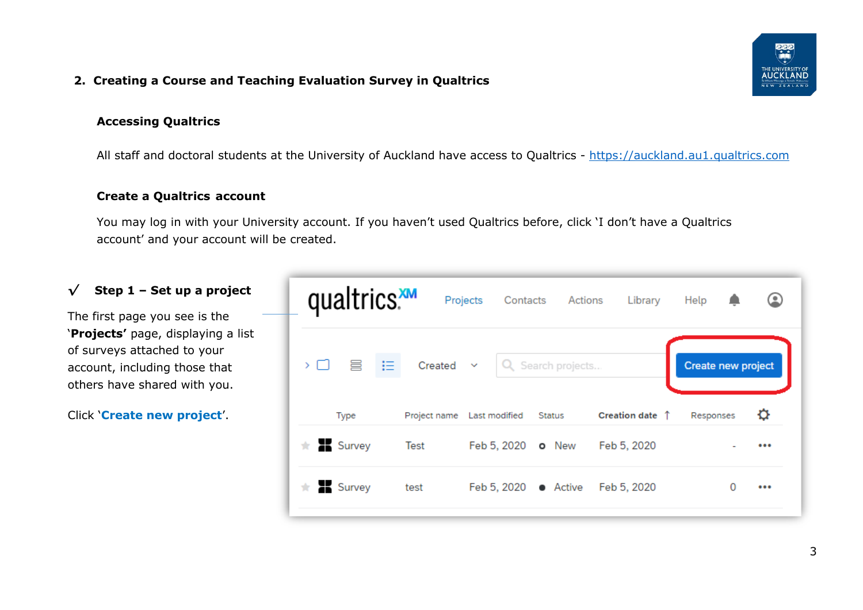#### **2. Creating a Course and Teaching Evaluation Survey in Qualtrics**

#### **Accessing Qualtrics**

All staff and doctoral students at the University of Auckland have access to Qualtrics - [https://auckland.au1.qualtrics.com](https://auckland.au1.qualtrics.com/)

#### **Create a Qualtrics account**

You may log in with your University account. If you haven't used Qualtrics before, click 'I don't have a Qualtrics account' and your account will be created.

# <span id="page-2-0"></span>*√* **Step 1 – Set up a project**

The first page you see is the '**Projects'** page, displaying a list of surveys attached to your account, including those that others have shared with you.

Click '**Create new project**'.

|    | qualtrics. |               | Projects                   | Actions<br>Contacts | Library                  | Help               | (∎) |
|----|------------|---------------|----------------------------|---------------------|--------------------------|--------------------|-----|
| ᠈□ | 言<br>- 18  | $Create \vee$ |                            | Q Search projects   |                          | Create new project |     |
|    | Type       |               | Project name Last modified | Status              | Creation date $\uparrow$ | Responses          |     |
| ÷  | Survey     | Test          | Feb 5, 2020 <b>o</b> New   |                     | Feb 5, 2020              |                    |     |
| ÷. | Survey     | test          | Feb 5, 2020                | $\bullet$ Active    | Feb 5, 2020              |                    |     |

3

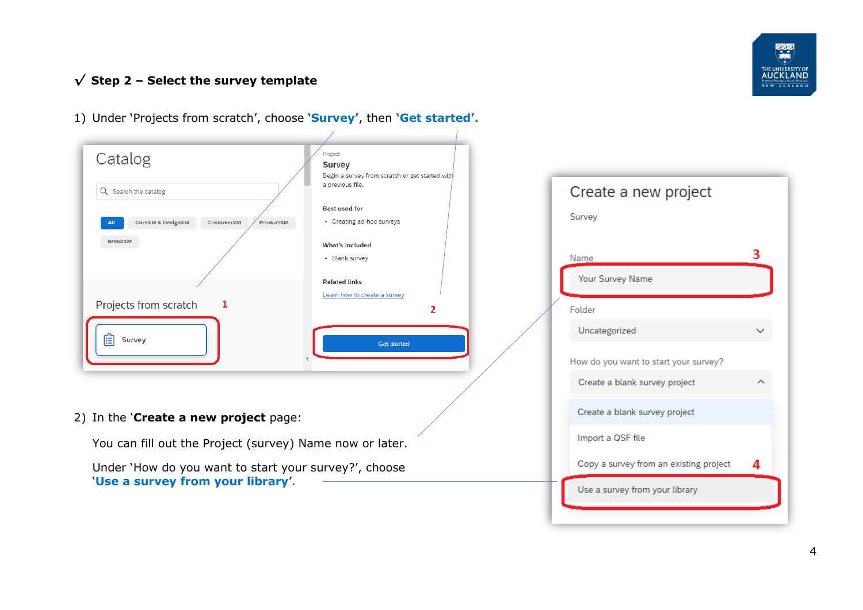

3

 $\checkmark$ 

 $\curvearrowright$ 

4

### *√* **Step 2 – Select the survey template**



1) Under 'Projects from scratch', choose '**Survey'**, then **'Get started'.**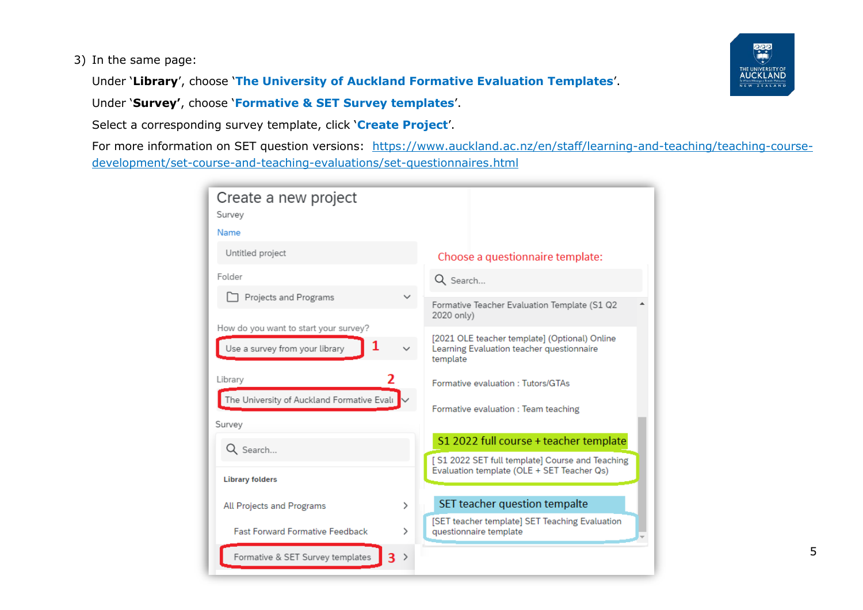#### 3) In the same page:

Under '**Library**', choose '**The University of Auckland Formative Evaluation Templates**'.

Under '**Survey'**, choose '**Formative & SET Survey templates**'.

Select a corresponding survey template, click '**Create Project**'.

For more information on SET question versions: [https://www.auckland.ac.nz/en/staff/learning-and-teaching/teaching-course](https://www.auckland.ac.nz/en/staff/learning-and-teaching/teaching-course-development/set-course-and-teaching-evaluations/set-questionnaires.html)[development/set-course-and-teaching-evaluations/set-questionnaires.html](https://www.auckland.ac.nz/en/staff/learning-and-teaching/teaching-course-development/set-course-and-teaching-evaluations/set-questionnaires.html)

| Create a new project<br>Survey             |   |                                                                          |  |  |
|--------------------------------------------|---|--------------------------------------------------------------------------|--|--|
| Name                                       |   |                                                                          |  |  |
| Untitled project                           |   | Choose a questionnaire template:                                         |  |  |
| Folder                                     |   | Q Search                                                                 |  |  |
| Projects and Programs                      |   |                                                                          |  |  |
|                                            |   | Formative Teacher Evaluation Template (S1 Q2<br>2020 only)               |  |  |
| How do you want to start your survey?      |   | [2021 OLE teacher template] (Optional) Online                            |  |  |
| 1<br>Use a survey from your library        |   | Learning Evaluation teacher questionnaire<br>template                    |  |  |
| Library                                    |   | Formative evaluation: Tutors/GTAs                                        |  |  |
| The University of Auckland Formative Evalı |   | Formative evaluation : Team teaching                                     |  |  |
| Survey                                     |   |                                                                          |  |  |
| Q Search                                   |   | S1 2022 full course + teacher template                                   |  |  |
|                                            |   | [S1 2022 SET full template] Course and Teaching                          |  |  |
| <b>Library folders</b>                     |   | Evaluation template (OLE + SET Teacher Qs)                               |  |  |
| <b>All Projects and Programs</b>           | ⋋ | SET teacher question tempalte                                            |  |  |
| <b>Fast Forward Formative Feedback</b>     | ⋋ | [SET teacher template] SET Teaching Evaluation<br>questionnaire template |  |  |
| Formative & SET Survey templates<br>ર      | ᠈ |                                                                          |  |  |

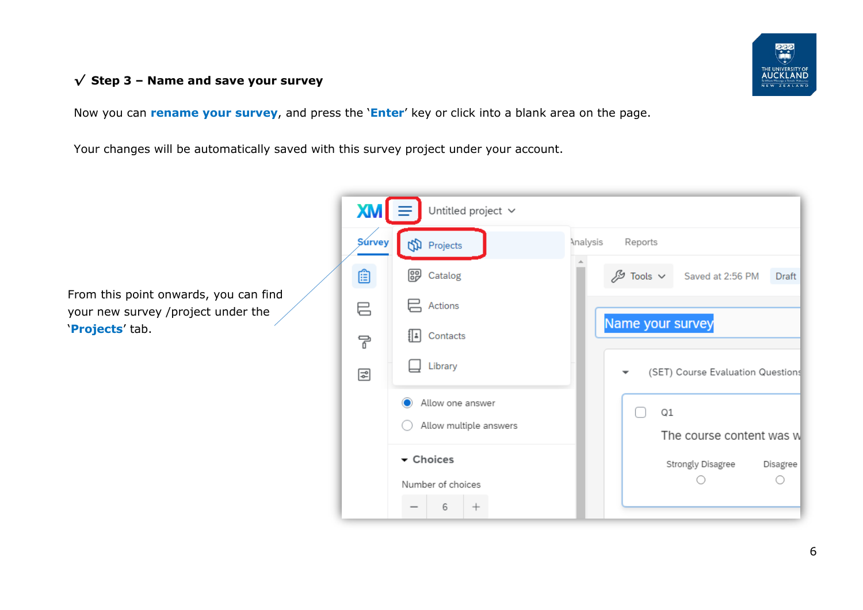### *√* **Step 3 – Name and save your survey**

Now you can **rename your survey**, and press the '**Enter**' key or click into a blank area on the page.

Your changes will be automatically saved with this survey project under your account.

From this point onwards, you can find your new survey /project under the '**Projects**' tab.

| $\mathbf{X}$ M $\mathbf{I}$ | Untitled project v     |                                                         |
|-----------------------------|------------------------|---------------------------------------------------------|
| <b>Survey</b>               | <b>ff</b> Projects     | Analysis<br>Reports                                     |
| œ                           | 卽<br>Catalog           | $\mathscr{S}$ Tools $\vee$<br>Saved at 2:56 PM<br>Draft |
| 巳                           | Actions                |                                                         |
| ᄝ                           | ا⊧ا!<br>Contacts       | Name your survey                                        |
| 더                           | Library                | (SET) Course Evaluation Questions                       |
|                             | Allow one answer       | Q1                                                      |
|                             | Allow multiple answers | The course content was w                                |
|                             | ▼ Choices              | Strongly Disagree<br>Disagree                           |
|                             | Number of choices<br>6 |                                                         |

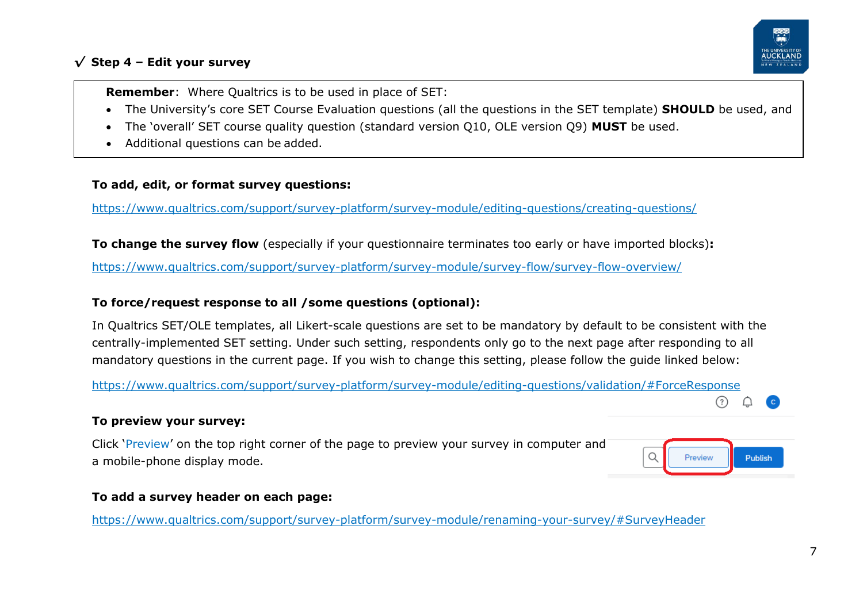### *√* **Step 4 – Edit your survey**



**Remember**: Where Qualtrics is to be used in place of SET:

- The University's core SET Course Evaluation questions (all the questions in the SET template) **SHOULD** be used, and
- The 'overall' SET course quality question (standard version Q10, OLE version Q9) **MUST** be used.
- Additional questions can be added.

#### **To add, edit, or format survey questions:**

<https://www.qualtrics.com/support/survey-platform/survey-module/editing-questions/creating-questions/>

**To change the survey flow** (especially if your questionnaire terminates too early or have imported blocks)**:**

<https://www.qualtrics.com/support/survey-platform/survey-module/survey-flow/survey-flow-overview/>

#### **To force/request response to all /some questions (optional):**

In Qualtrics SET/OLE templates, all Likert-scale questions are set to be mandatory by default to be consistent with the centrally-implemented SET setting. Under such setting, respondents only go to the next page after responding to all mandatory questions in the current page. If you wish to change this setting, please follow the guide linked below:

<https://www.qualtrics.com/support/survey-platform/survey-module/editing-questions/validation/#ForceResponse>

#### **To preview your survey:**

Click 'Preview' on the top right corner of the page to preview your survey in computer and a mobile-phone display mode.

| Preview | <b>Publish</b> |
|---------|----------------|
|         |                |

 $(?)$ 

#### **To add a survey header on each page:**

<https://www.qualtrics.com/support/survey-platform/survey-module/renaming-your-survey/#SurveyHeader>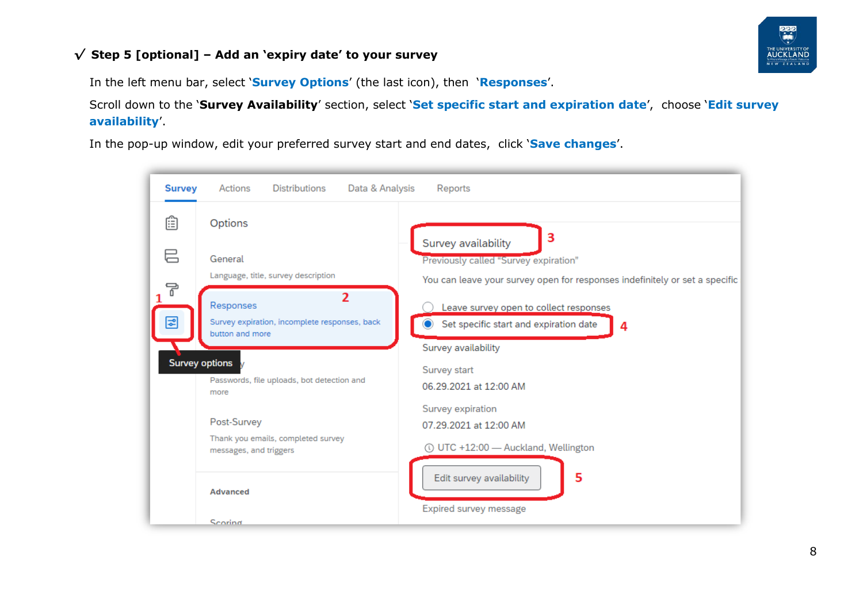### <span id="page-7-0"></span>*√* **Step 5 [optional] – Add an 'expiry date' to your survey**



In the left menu bar, select '**Survey Options**' (the last icon), then '**Responses**'.

Scroll down to the '**Survey Availability**' section, select '**Set specific start and expiration date**', choose '**Edit survey availability**'.

In the pop-up window, edit your preferred survey start and end dates, click '**Save changes**'.

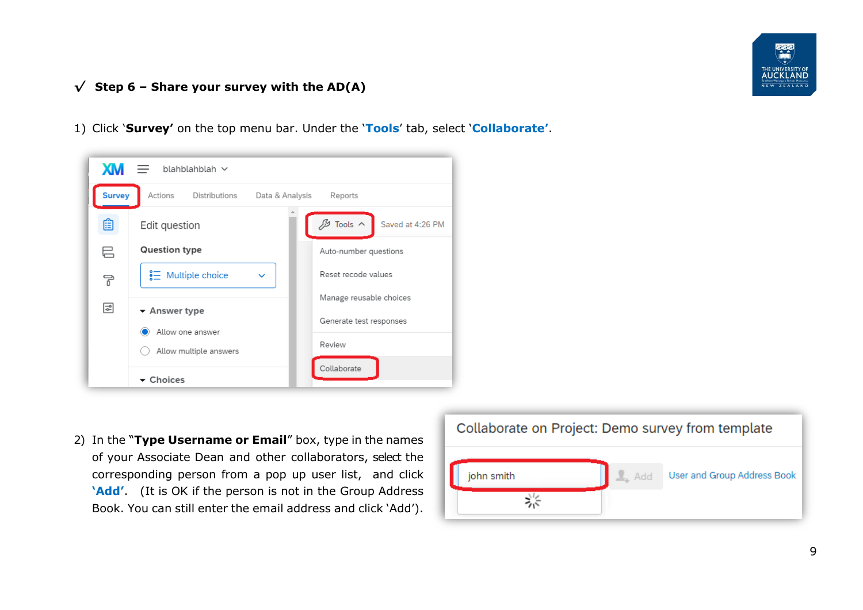

### <span id="page-8-0"></span>*√* **Step 6 – Share your survey with the AD(A)**

1) Click '**Survey'** on the top menu bar. Under the '**Tools**' tab, select '**Collaborate'**.



2) In the "**Type Username or Email**" box, type in the names of your Associate Dean and other collaborators, select the corresponding person from a pop up user list, and click **'Add'**. (It is OK if the person is not in the Group Address Book. You can still enter the email address and click 'Add').

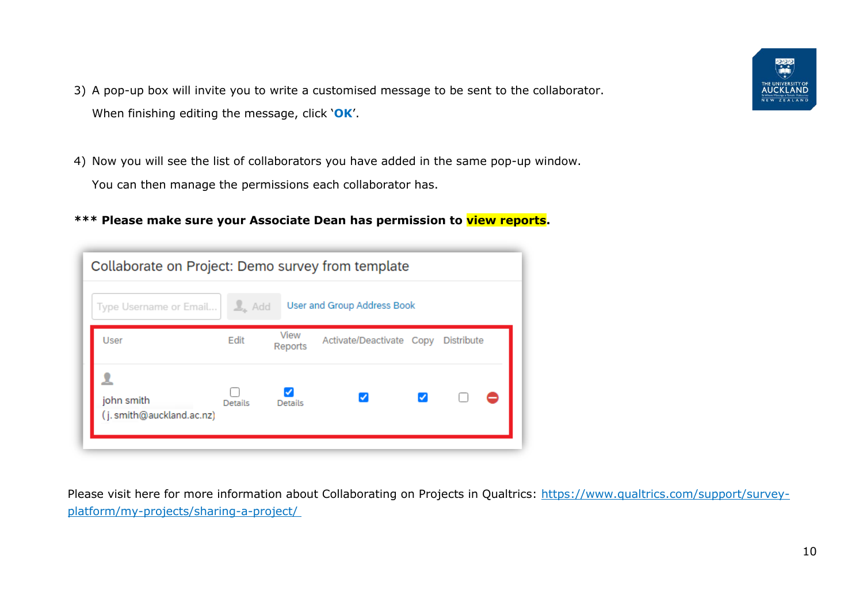- 3) A pop-up box will invite you to write a customised message to be sent to the collaborator. When finishing editing the message, click '**OK**'.
- 4) Now you will see the list of collaborators you have added in the same pop-up window. You can then manage the permissions each collaborator has.
- **\*\*\* Please make sure your Associate Dean has permission to view reports.**

| Collaborate on Project: Demo survey from template |                   |                 |                                     |  |  |  |
|---------------------------------------------------|-------------------|-----------------|-------------------------------------|--|--|--|
| Type Username or Email                            | $\frac{1}{2}$ Add |                 | User and Group Address Book         |  |  |  |
| User                                              | Edit              | View<br>Reports | Activate/Deactivate Copy Distribute |  |  |  |
| john smith<br>(j. smith@auckland.ac.nz)           | <b>Details</b>    | Details         |                                     |  |  |  |

Please visit here for more information about Collaborating on Projects in Qualtrics: [https://www.qualtrics.com/support/survey](https://www.qualtrics.com/support/survey-platform/my-projects/sharing-a-project/)[platform/my-projects/sharing-a-project/](https://www.qualtrics.com/support/survey-platform/my-projects/sharing-a-project/)

್ನಿಲ್ಲ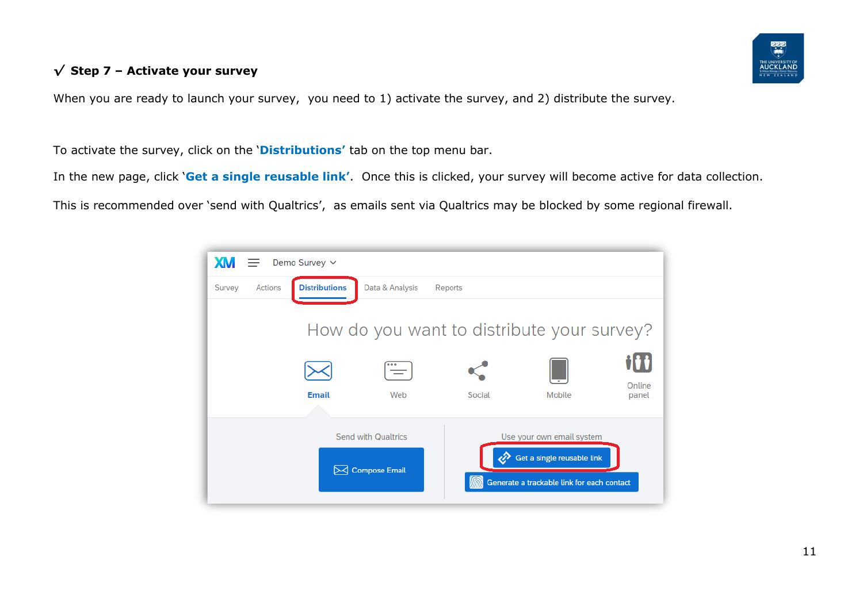### *√* **Step 7 – Activate your survey**

When you are ready to launch your survey, you need to 1) activate the survey, and 2) distribute the survey.

To activate the survey, click on the '**Distributions'** tab on the top menu bar.

In the new page, click '**Get a single reusable link'**. Once this is clicked, your survey will become active for data collection.

This is recommended over 'send with Qualtrics', as emails sent via Qualtrics may be blocked by some regional firewall.

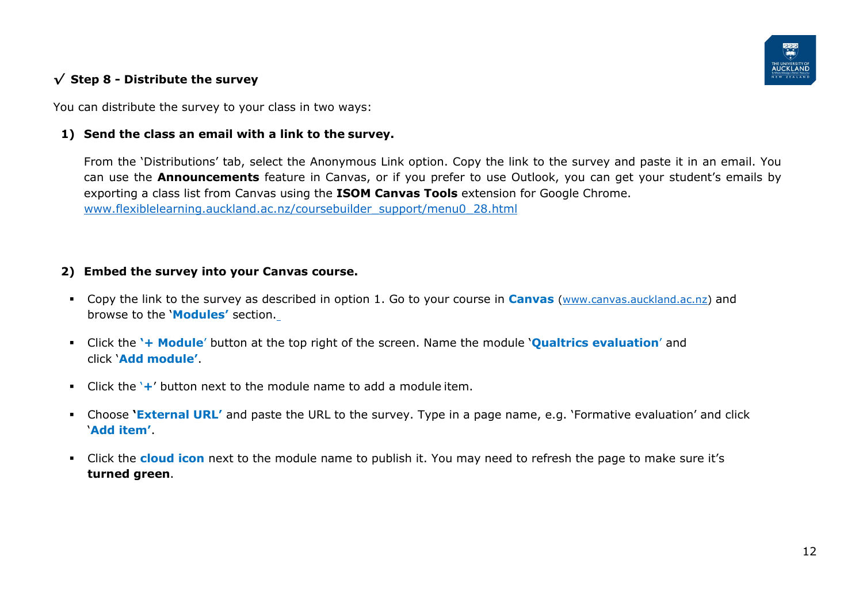

### <span id="page-11-0"></span>*√* **Step 8 - Distribute the survey**

You can distribute the survey to your class in two ways:

#### **1) Send the class an email with a link to the survey.**

From the 'Distributions' tab, select the Anonymous Link option. Copy the link to the survey and paste it in an email. You can use the **Announcements** feature in Canvas, or if you prefer to use Outlook, you can get your student's emails by exporting a class list from Canvas using the **ISOM Canvas Tools** extension for Google Chrome. [www.flexiblelearning.auckland.ac.nz/coursebuilder\\_support/menu0\\_28.html](http://www.flexiblelearning.auckland.ac.nz/coursebuilder_support/menu0_28.html)

#### **2) Embed the survey into your Canvas course.**

- Copy the link to the survey as described in option 1. Go to your course in **Canvas** [\(www.canvas.auckland.ac.nz\)](http://www.canvas.auckland.ac.nz/) and browse to the '**Modules'** section.
- Click the **'+ Module**' button at the top right of the screen. Name the module '**Qualtrics evaluation**' and click '**Add module'**.
- Click the '**+**' button next to the module name to add a module item.
- Choose **'External URL'** and paste the URL to the survey. Type in a page name, e.g. 'Formative evaluation' and click '**Add item'**.
- Click the **cloud icon** next to the module name to publish it. You may need to refresh the page to make sure it's **turned green**.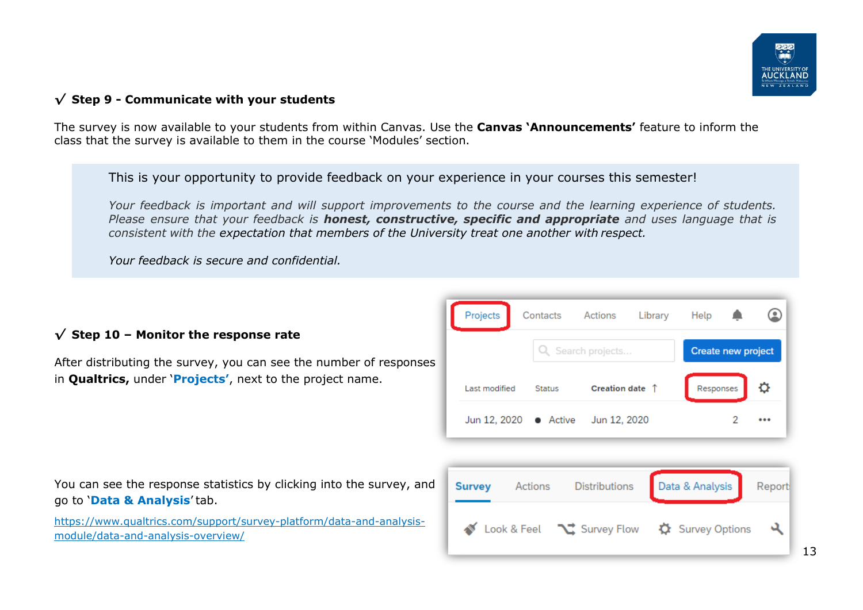

#### *√* **Step 9 - Communicate with your students**

The survey is now available to your students from within Canvas. Use the **Canvas 'Announcements'** feature to inform the class that the survey is available to them in the course 'Modules' section.

This is your opportunity to provide feedback on your experience in your courses this semester!

*Your feedback is important and will support improvements to the course and the learning experience of students. Please ensure that your feedback is honest, constructive, specific and appropriate and uses language that is consistent with the expectation that members of the University treat one another with respect.*

*Your feedback is secure and confidential.*

|  |  |  |  |  | $\sqrt{\ }$ Step 10 - Monitor the response rate |  |
|--|--|--|--|--|-------------------------------------------------|--|
|--|--|--|--|--|-------------------------------------------------|--|

After distributing the survey, you can see the number of responses in **Qualtrics,** under '**Projects'**, next to the project name.



You can see the response statistics by clicking into the survey, and go to '**Data & Analysis**' tab.

[https://www.qualtrics.com/support/survey-platform/data-and-analysis](https://www.qualtrics.com/support/survey-platform/data-and-analysis-module/data-and-analysis-overview/)[module/data-and-analysis-overview/](https://www.qualtrics.com/support/survey-platform/data-and-analysis-module/data-and-analysis-overview/)

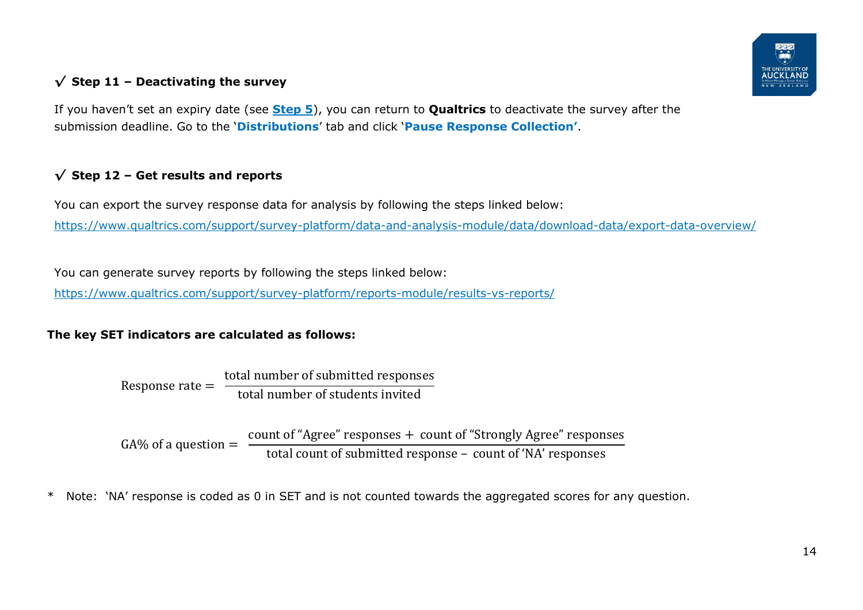## *√* **Step 11 – Deactivating the survey**



If you haven't set an expiry date (see **[Step 5](#page-7-0)**), you can return to **Qualtrics** to deactivate the survey after the submission deadline. Go to the '**Distributions**' tab and click '**Pause Response Collection'**.

## *√* **Step 12 – Get results and reports**

You can export the survey response data for analysis by following the steps linked below: <https://www.qualtrics.com/support/survey-platform/data-and-analysis-module/data/download-data/export-data-overview/>

You can generate survey reports by following the steps linked below:

<https://www.qualtrics.com/support/survey-platform/reports-module/results-vs-reports/>

### **The key SET indicators are calculated as follows:**

Response rate  $=$   $\frac{\text{total number of submitted responses}}{\text{total number of students invited}}$ total number of students invited

 $GA\%$  of a question  $=$   $\frac{\text{count of "Agree" responses + count of "Strongly Agree" responses}}{\text{count of all}}$ total count of submitted response – count of 'NA' responses

\* Note: 'NA' response is coded as 0 in SET and is not counted towards the aggregated scores for any question.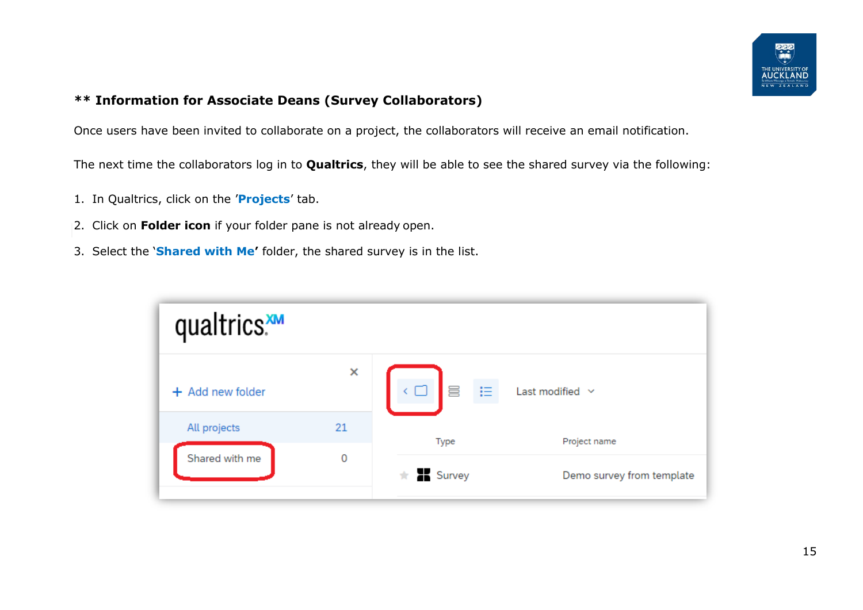

### **\*\* Information for Associate Deans (Survey Collaborators)**

Once users have been invited to collaborate on a project, the collaborators will receive an email notification.

The next time the collaborators log in to **Qualtrics**, they will be able to see the shared survey via the following:

- 1. In Qualtrics, click on the '**Projects**' tab.
- 2. Click on **Folder icon** if your folder pane is not already open.
- 3. Select the '**Shared with Me'** folder, the shared survey is in the list.

| qualtrics.       |    |                              |                           |
|------------------|----|------------------------------|---------------------------|
| + Add new folder | ×  | $\subset \square$<br>【昌<br>旧 | Last modified $\sim$      |
| All projects     | 21 | Type                         | Project name              |
| Shared with me   | 0  | $\star$ Survey               | Demo survey from template |